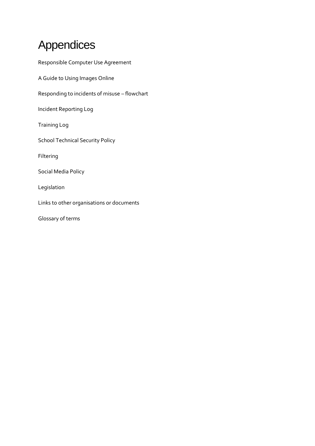# Appendices

| Responsible Computer Use Agreement            |
|-----------------------------------------------|
| A Guide to Using Images Online                |
| Responding to incidents of misuse - flowchart |
| Incident Reporting Log                        |
| <b>Training Log</b>                           |
| <b>School Technical Security Policy</b>       |
| Filtering                                     |
| Social Media Policy                           |
| Legislation                                   |
| Links to other organisations or documents     |
| Glossary of terms                             |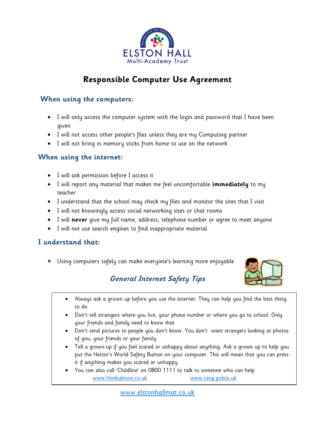

# **Responsible Computer Use Agreement**

### **When using the computers:**

- I will only access the computer system with the login and password that I have been aiven
- I will not access other people's files unless they are my Computing partner
- I will not bring in memory sticks from home to use on the network

### **When using the internet:**

- I will ask permission before I access it
- I will report any material that makes me feel uncomfortable **immediately** to my teacher
- I understand that the school may check my files and monitor the sites that I visit
- I will not knowingly access social networking sites or chat rooms
- I will **never** give my full name, address, telephone number or agree to meet anyone
- I will not use search engines to find inappropriate material

### **I understand that:**

Using computers safely can make everyone's learning more enjoyable



# **General Internet Safety Tips**

- Always ask a grown up before you use the internet. They can help you find the best thing to do
- Don't tell strangers where you live, your phone number or where you go to school. Only your friends and family need to know that
- Don't send pictures to people you don't know. You don't want strangers looking at photos of you, your friends or your family
- Tell a grown-up if you feel scared or unhappy about anything. Ask a grown up to help you put the Hector's World Safety Button on your computer. This will mean that you can press it if anything makes you scared or unhappy.
- You can also call 'Childline' on 0800 1111 to talk to someone who can help [www.thinkuknow.co.uk](http://www.thinkuknow.co.uk/) [www.ceop.police.uk](http://www.ceop.police.uk/)

[www.elstonhallmat.co.uk](http://www.elstonhallmat.co.uk/)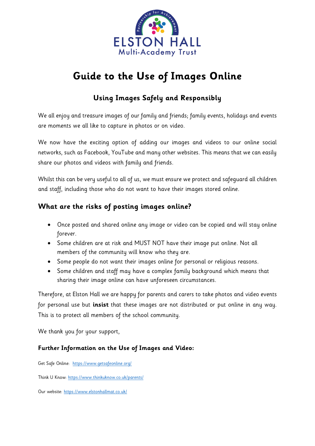

# **Guide to the Use of Images Online**

## **Using Images Safely and Responsibly**

We all enjoy and treasure images of our family and friends; family events, holidays and events are moments we all like to capture in photos or on video.

We now have the exciting option of adding our images and videos to our online social networks, such as Facebook, YouTube and many other websites. This means that we can easily share our photos and videos with family and friends.

Whilst this can be very useful to all of us, we must ensure we protect and safeguard all children and staff, including those who do not want to have their images stored online.

## **What are the risks of posting images online?**

- Once posted and shared online any image or video can be copied and will stay online forever.
- Some children are at risk and MUST NOT have their image put online. Not all members of the community will know who they are.
- Some people do not want their images online for personal or religious reasons.
- Some children and staff may have a complex family background which means that sharing their image online can have unforeseen circumstances.

Therefore, at Elston Hall we are happy for parents and carers to take photos and video events for personal use but **insist** that these images are not distributed or put online in any way. This is to protect all members of the school community.

We thank you for your support,

### **Further Information on the Use of Images and Video:**

Get Safe Online: <https://www.getsafeonline.org/>

Think U Know:<https://www.thinkuknow.co.uk/parents/>

Our website:<https://www.elstonhallmat.co.uk/>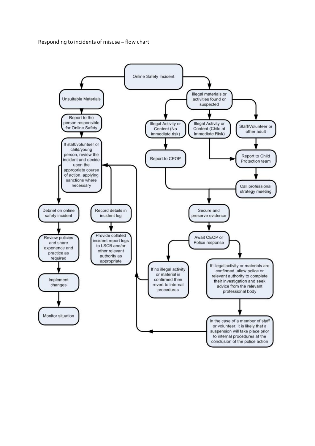Responding to incidents of misuse – flow chart

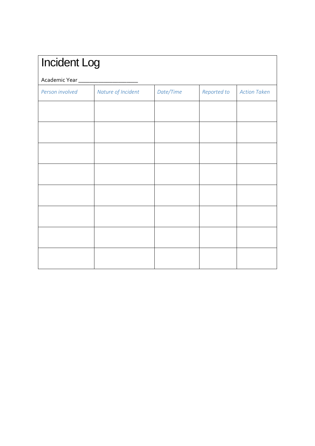| <b>Incident Log</b><br>Academic Year_ |  |  |  |  |  |
|---------------------------------------|--|--|--|--|--|
|                                       |  |  |  |  |  |
|                                       |  |  |  |  |  |
|                                       |  |  |  |  |  |
|                                       |  |  |  |  |  |
|                                       |  |  |  |  |  |
|                                       |  |  |  |  |  |
|                                       |  |  |  |  |  |
|                                       |  |  |  |  |  |
|                                       |  |  |  |  |  |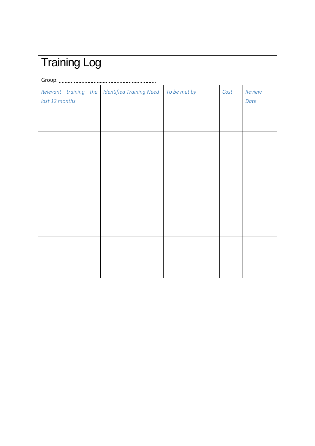| <b>Training Log</b> |                                                |              |      |                |  |
|---------------------|------------------------------------------------|--------------|------|----------------|--|
|                     |                                                |              |      |                |  |
| last 12 months      | Relevant training the Identified Training Need | To be met by | Cost | Review<br>Date |  |
|                     |                                                |              |      |                |  |
|                     |                                                |              |      |                |  |
|                     |                                                |              |      |                |  |
|                     |                                                |              |      |                |  |
|                     |                                                |              |      |                |  |
|                     |                                                |              |      |                |  |
|                     |                                                |              |      |                |  |
|                     |                                                |              |      |                |  |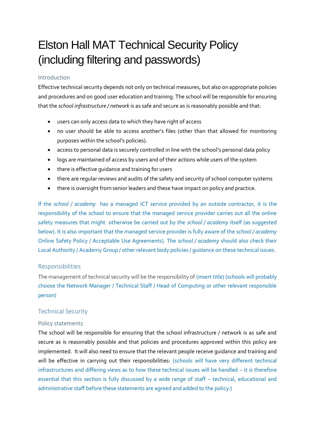# Elston Hall MAT Technical Security Policy (including filtering and passwords)

#### Introduction

Effective technical security depends not only on technical measures, but also on appropriate policies and procedures and on good user education and training. The school will be responsible for ensuring that the *school infrastructure / network* is as safe and secure as is reasonably possible and that:

- users can only access data to which they have right of access
- no user should be able to access another's files (other than that allowed for monitoring purposes within the school's policies).
- access to personal data is securely controlled in line with the school's personal data policy
- logs are maintained of access by users and of their actions while users of the system
- there is effective quidance and training for users
- there are regular reviews and audits of the safety and security of school computer systems
- there is oversight from senior leaders and these have impact on policy and practice.

If the *school / academy* has a managed ICT service provided by an outside contractor, it is the responsibility of the school to ensure that the managed service provider carries out all the online safety measures that might otherwise be carried out by the *school / academy* itself (as suggested below). It is also important that the managed service provider is fully aware of the *school / academy* Online Safety Policy / Acceptable Use Agreements). The *school / academy* should also check their Local Authority / Academy Group / other relevant body policies / guidance on these technical issues.

#### Responsibilities

The management of technical security will be the responsibility of (insert title) (schools will probably choose the Network Manager / Technical Staff / Head of Computing or other relevant responsible person)

#### Technical Security

#### Policy statements

The school will be responsible for ensuring that the school infrastructure / network is as safe and secure as is reasonably possible and that policies and procedures approved within this policy are implemented. It will also need to ensure that the relevant people receive guidance and training and will be effective in carrying out their responsibilities: (schools will have very different technical infrastructures and differing views as to how these technical issues will be handled – it is therefore essential that this section is fully discussed by a wide range of staff – technical, educational and administrative staff before these statements are agreed and added to the policy:)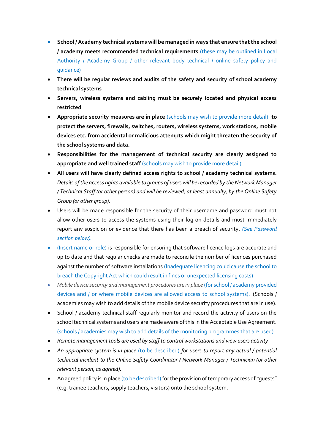- **School / Academy technical systems will be managed in ways that ensure that the school / academy meets recommended technical requirements** (these may be outlined in Local Authority / Academy Group / other relevant body technical / online safety policy and guidance)
- **There will be regular reviews and audits of the safety and security of school academy technical systems**
- **Servers, wireless systems and cabling must be securely located and physical access restricted**
- **Appropriate security measures are in place** (schools may wish to provide more detail) **to protect the servers, firewalls, switches, routers, wireless systems, work stations, mobile devices etc. from accidental or malicious attempts which might threaten the security of the school systems and data.**
- **Responsibilities for the management of technical security are clearly assigned to appropriate and well trained staff** (schools may wish to provide more detail).
- **All users will have clearly defined access rights to school / academy technical systems.** *Details of the access rights available to groups of users will be recorded by the Network Manager / Technical Staff (or other person) and will be reviewed, at least annually, by the Online Safety Group (or other group).*
- Users will be made responsible for the security of their username and password must not allow other users to access the systems using their log on details and must immediately report any suspicion or evidence that there has been a breach of security. *(See Password section below).*
- (Insert name or role) is responsible for ensuring that software licence logs are accurate and up to date and that regular checks are made to reconcile the number of licences purchased against the number of software installations (Inadequate licencing could cause the school to breach the Copyright Act which could result in fines or unexpected licensing costs)
- Mobile device security and management procedures are in place (for school / academy provided devices and / or where mobile devices are allowed access to school systems). (Schools / academies may wish to add details of the mobile device security procedures that are in use).
- School / academy technical staff regularly monitor and record the activity of users on the school technical systems and users are made aware of this in the Acceptable Use Agreement. (schools / academies may wish to add details of the monitoring programmes that are used).
- *Remote management tools are used by staff to control workstations and view users activity*
- *An appropriate system is in place* (to be described) *for users to report any actual / potential technical incident to the Online Safety Coordinator / Network Manager / Technician (or other relevant person, as agreed).*
- An agreed policy is in place (to be described) for the provision of temporary access of "quests" (e.g. trainee teachers, supply teachers, visitors) onto the school system.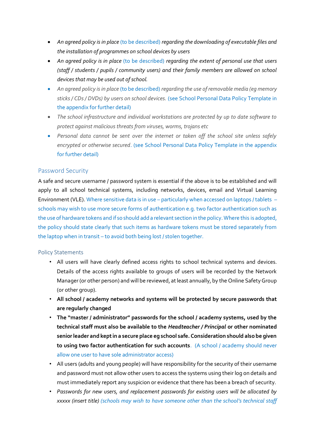- *An agreed policy is in place* (to be described) *regarding the downloading of executable files and the installation of programmes on school devices by users*
- *An agreed policy is in place* (to be described) *regarding the extent of personal use that users (staff / students / pupils / community users) and their family members are allowed on school devices that may be used out of school.*
- *An agreed policy is in place* (to be described) *regarding the use of removable media (eg memory sticks / CDs / DVDs) by users on school devices.* (see School Personal Data Policy Template in the appendix for further detail)
- *The school infrastructure and individual workstations are protected by up to date software to protect against malicious threats from viruses, worms, trojans etc*
- *Personal data cannot be sent over the internet or taken off the school site unless safely encrypted or otherwise secured*. (see School Personal Data Policy Template in the appendix for further detail)

#### Password Security

A safe and secure username / password system is essential if the above is to be established and will apply to all school technical systems, including networks, devices, email and Virtual Learning Environment (VLE). Where sensitive data is in use – particularly when accessed on laptops / tablets – schools may wish to use more secure forms of authentication e.g. two factor authentication such as the use of hardware tokens and if so should add a relevant section in the policy. Where this is adopted, the policy should state clearly that such items as hardware tokens must be stored separately from the laptop when in transit – to avoid both being lost / stolen together.

#### Policy Statements

- All users will have clearly defined access rights to school technical systems and devices. Details of the access rights available to groups of users will be recorded by the Network Manager (or other person) and will be reviewed, at least annually, by the Online Safety Group (or other group).
- **All school / academy networks and systems will be protected by secure passwords that are regularly changed**
- **The "master / administrator" passwords for the school / academy systems, used by the technical staff must also be available to the** *Headteacher / Principal* **or other nominated senior leader and kept in a secure place eg school safe. Consideration should also be given to using two factor authentication for such accounts**. (A school / academy should never allow one user to have sole administrator access)
- All users (adults and young people) will have responsibility for the security of their username and password must not allow other users to access the systems using their log on details and must immediately report any suspicion or evidence that there has been a breach of security.
- *Passwords for new users, and replacement passwords for existing users will be allocated by xxxxx (insert title) (schools may wish to have someone other than the school's technical staff*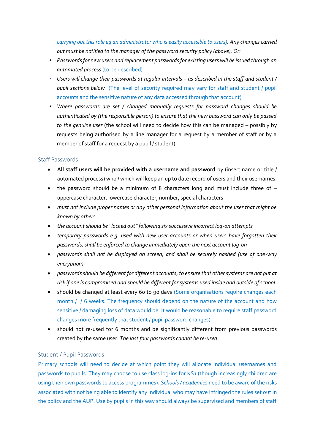*carrying out this role eg an administrator who is easily accessible to users). Any changes carried out must be notified to the manager of the password security policy (above). Or:*

- *Passwords for new users and replacement passwords for existing users will be issued through an automated process*(to be described)
- Users will change their passwords at regular intervals as described in the staff and student / *pupil sections below* (The level of security required may vary for staff and student / pupil accounts and the sensitive nature of any data accessed through that account)
- *Where passwords are set / changed manually requests for password changes should be authenticated by (the responsible person) to ensure that the new password can only be passed to the genuine user* (the school will need to decide how this can be managed – possibly by requests being authorised by a line manager for a request by a member of staff or by a member of staff for a request by a pupil / student)

#### Staff Passwords

- **All staff users will be provided with a username and password** by (insert name or title / automated process) who / which will keep an up to date record of users and their usernames.
- the password should be a minimum of 8 characters long and must include three of uppercase character, lowercase character, number, special characters
- *must not include proper names or any other personal information about the user that might be known by others*
- *the account should be "locked out" following six successive incorrect log-on attempts*
- *temporary passwords e.g. used with new user accounts or when users have forgotten their passwords, shall be enforced to change immediately upon the next account log-on*
- *passwords shall not be displayed on screen, and shall be securely hashed (use of one-way encryption)*
- *passwords should be different for different accounts, to ensure that other systems are not put at risk if one is compromised and should be different for systems used inside and outside of school*
- should be changed at least every 60 to 90 days (Some organisations require changes each month / / 6 weeks. The frequency should depend on the nature of the account and how sensitive / damaging loss of data would be. It would be reasonable to require staff password changes more frequently that student / pupil password changes)
- should not re-used for 6 months and be significantly different from previous passwords created by the same user*. The last four passwords cannot be re-used*.

#### Student / Pupil Passwords

Primary schools will need to decide at which point they will allocate individual usernames and passwords to pupils. They may choose to use class log-ins for KS1 (though increasingly children are using their own passwords to access programmes). *Schools / academies* need to be aware of the risks associated with not being able to identify any individual who may have infringed the rules set out in the policy and the AUP. Use by pupils in this way should always be supervised and members of staff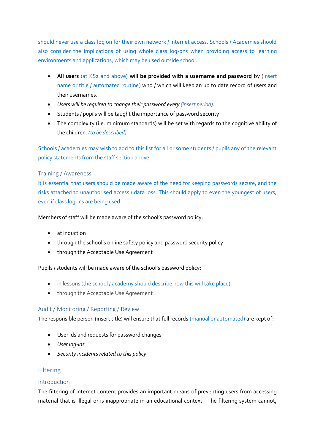should never use a class log on for their own network / internet access. Schools / Academies should also consider the implications of using whole class log-ons when providing access to learning environments and applications, which may be used outside school.

- **All users** (at KS2 and above) **will be provided with a username and password** by (insert name or title / automated routine) who / which will keep an up to date record of users and their usernames.
- *Users will be required to change their password every (insert period).*
- Students / pupils will be taught the importance of password security
- The complexity (i.e. minimum standards) will be set with regards to the cognitive ability of the children. *(to be described)*

Schools / academies may wish to add to this list for all or some students / pupils any of the relevant policy statements from the staff section above.

#### Training / Awareness

It is essential that users should be made aware of the need for keeping passwords secure, and the risks attached to unauthorised access / data loss. This should apply to even the youngest of users, even if class log-ins are being used.

Members of staff will be made aware of the school's password policy:

- at induction
- through the school's online safety policy and password security policy
- through the Acceptable Use Agreement

Pupils / students will be made aware of the school's password policy:

- in lessons (the school / academy should describe how this will take place)
- **•** through the Acceptable Use Agreement

#### Audit / Monitoring / Reporting / Review

The responsible person (insert title) will ensure that full records (manual or automated) are kept of:

- User Ids and requests for password changes
- *User log-ins*
- *Security incidents related to this policy*

#### Filtering

#### Introduction

The filtering of internet content provides an important means of preventing users from accessing material that is illegal or is inappropriate in an educational context. The filtering system cannot,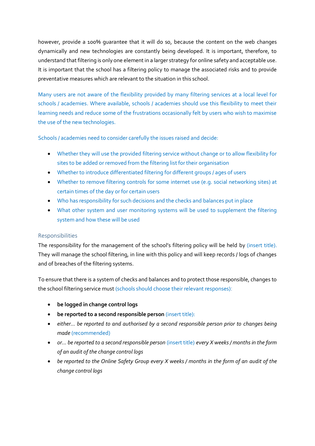however, provide a 100% guarantee that it will do so, because the content on the web changes dynamically and new technologies are constantly being developed. It is important, therefore, to understand that filtering is only one element in a larger strategy for online safety and acceptable use. It is important that the school has a filtering policy to manage the associated risks and to provide preventative measures which are relevant to the situation in this school.

Many users are not aware of the flexibility provided by many filtering services at a local level for schools / academies. Where available, schools / academies should use this flexibility to meet their learning needs and reduce some of the frustrations occasionally felt by users who wish to maximise the use of the new technologies.

Schools / academies need to consider carefully the issues raised and decide:

- Whether they will use the provided filtering service without change or to allow flexibility for sites to be added or removed from the filtering list for their organisation
- Whether to introduce differentiated filtering for different groups / ages of users
- Whether to remove filtering controls for some internet use (e.g. social networking sites) at certain times of the day or for certain users
- Who has responsibility for such decisions and the checks and balances put in place
- What other system and user monitoring systems will be used to supplement the filtering system and how these will be used

#### Responsibilities

The responsibility for the management of the school's filtering policy will be held by (insert title). They will manage the school filtering, in line with this policy and will keep records / logs of changes and of breaches of the filtering systems.

To ensure that there is a system of checks and balances and to protect those responsible, changes to the school filtering service must (schools should choose their relevant responses):

- **be logged in change control logs**
- **be reported to a second responsible person** (insert title):
- *either... be reported to and authorised by a second responsible person prior to changes being made* (recommended)
- *or... be reported to a second responsible person* (insert title) *every X weeks / months in the form of an audit of the change control logs*
- *be reported to the Online Safety Group every X weeks / months in the form of an audit of the change control logs*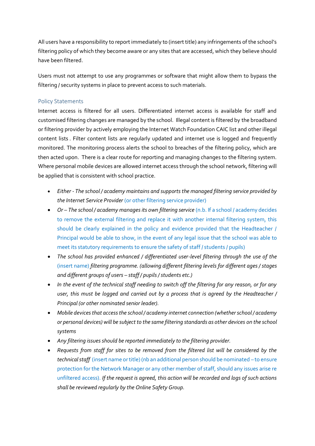All users have a responsibility to report immediately to (insert title) any infringements of the school's filtering policy of which they become aware or any sites that are accessed, which they believe should have been filtered.

Users must not attempt to use any programmes or software that might allow them to bypass the filtering / security systems in place to prevent access to such materials.

#### Policy Statements

Internet access is filtered for all users. Differentiated internet access is available for staff and customised filtering changes are managed by the school. Illegal content is filtered by the broadband or filtering provider by actively employing the Internet Watch Foundation CAIC list and other illegal content lists . Filter content lists are regularly updated and internet use is logged and frequently monitored. The monitoring process alerts the school to breaches of the filtering policy, which are then acted upon. There is a clear route for reporting and managing changes to the filtering system. Where personal mobile devices are allowed internet access through the school network, filtering will be applied that is consistent with school practice.

- *Either - The school / academy maintains and supports the managed filtering service provided by the Internet Service Provider* (or other filtering service provider)
- *Or – The school / academy manages its own filtering service* (n.b. If a school / academy decides to remove the external filtering and replace it with another internal filtering system, this should be clearly explained in the policy and evidence provided that the Headteacher / Principal would be able to show, in the event of any legal issue that the school was able to meet its statutory requirements to ensure the safety of staff / students / pupils)
- *The school has provided enhanced / differentiated user-level filtering through the use of the*  (insert name) *filtering programme. (allowing different filtering levels for different ages / stages and different groups of users – staff / pupils / students etc.)*
- *In the event of the technical staff needing to switch off the filtering for any reason, or for any user, this must be logged and carried out by a process that is agreed by the Headteacher / Principal (or other nominated senior leader).*
- *Mobile devices that access the school / academy internet connection (whether school / academy or personal devices) will be subject to the same filtering standards as other devices on the school systems*
- *Any filtering issues should be reported immediately to the filtering provider.*
- *Requests from staff for sites to be removed from the filtered list will be considered by the technical staff* (insert name or title) (nb an additional person should be nominated – to ensure protection for the Network Manager or any other member of staff, should any issues arise re unfiltered access). *If the request is agreed, this action will be recorded and logs of such actions shall be reviewed regularly by the Online Safety Group.*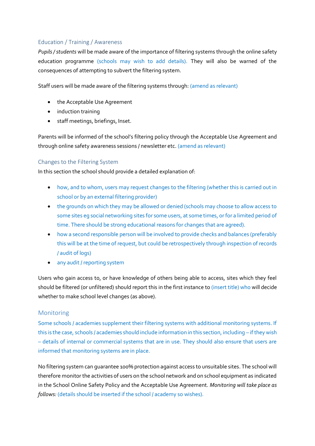#### Education / Training / Awareness

*Pupils / students* will be made aware of the importance of filtering systems through the online safety education programme (schools may wish to add details). They will also be warned of the consequences of attempting to subvert the filtering system.

Staff users will be made aware of the filtering systems through: (amend as relevant)

- the Acceptable Use Agreement
- induction training
- staff meetings, briefings, Inset.

Parents will be informed of the school's filtering policy through the Acceptable Use Agreement and through online safety awareness sessions / newsletter etc. (amend as relevant)

#### Changes to the Filtering System

In this section the school should provide a detailed explanation of:

- how, and to whom, users may request changes to the filtering (whether this is carried out in school or by an external filtering provider)
- the grounds on which they may be allowed or denied (schools may choose to allow access to some sites eg social networking sites for some users, at some times, or for a limited period of time. There should be strong educational reasons for changes that are agreed).
- how a second responsible person will be involved to provide checks and balances (preferably this will be at the time of request, but could be retrospectively through inspection of records / audit of logs)
- any audit / reporting system

Users who gain access to, or have knowledge of others being able to access, sites which they feel should be filtered (or unfiltered) should report this in the first instance to (insert title) who will decide whether to make school level changes (as above).

#### Monitoring

Some schools / academies supplement their filtering systems with additional monitoring systems. If this is the case, schools / academies should include information in this section, including – if they wish – details of internal or commercial systems that are in use. They should also ensure that users are informed that monitoring systems are in place.

No filtering system can guarantee 100% protection against access to unsuitable sites. The school will therefore monitor the activities of users on the school network and on school equipment as indicated in the School Online Safety Policy and the Acceptable Use Agreement. *Monitoring will take place as follows:* (details should be inserted if the school / academy so wishes).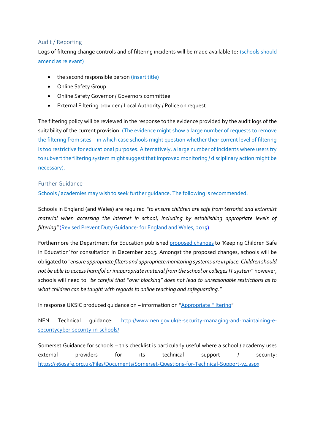#### Audit / Reporting

Logs of filtering change controls and of filtering incidents will be made available to: (schools should amend as relevant)

- the second responsible person (insert title)
- Online Safety Group
- Online Safety Governor / Governors committee
- External Filtering provider / Local Authority / Police on request

The filtering policy will be reviewed in the response to the evidence provided by the audit logs of the suitability of the current provision. (The evidence might show a large number of requests to remove the filtering from sites – in which case schools might question whether their current level of filtering is too restrictive for educational purposes. Alternatively, a large number of incidents where users try to subvert the filtering system might suggest that improved monitoring / disciplinary action might be necessary).

#### Further Guidance

Schools / academies may wish to seek further guidance. The following is recommended:

Schools in England (and Wales) are required *"to ensure children are safe from terrorist and extremist material when accessing the internet in school, including by establishing appropriate levels of filtering"* [\(Revised Prevent Duty Guidance: for England and Wales, 2015\)](https://www.gov.uk/government/uploads/system/uploads/attachment_data/file/445977/3799_Revised_Prevent_Duty_Guidance__England_Wales_V2-Interactive.pdf).

Furthermore the Department for Education published [proposed changes](https://www.gov.uk/government/consultations/keeping-children-safe-in-education-proposed-changes) to 'Keeping Children Safe in Education' for consultation in December 2015. Amongst the proposed changes, schools will be obligated to *"ensure appropriate filters and appropriate monitoring systems are in place. Children should not be able to access harmful or inappropriate material from the school or colleges IT system"* however, schools will need to *"be careful that "over blocking" does not lead to unreasonable restrictions as to what children can be taught with regards to online teaching and safeguarding."*

In response UKSIC produced guidance on – information on "[Appropriate Filtering](http://www.saferinternet.org.uk/advice-and-resources/teachers-and-professionals/appropriate-filtering-for-education-settings)"

NEN Technical guidance: [http://www.nen.gov.uk/e-security-managing-and-maintaining-e](http://www.nen.gov.uk/e-security-managing-and-maintaining-e-securitycyber-security-in-schools/)[securitycyber-security-in-schools/](http://www.nen.gov.uk/e-security-managing-and-maintaining-e-securitycyber-security-in-schools/)

Somerset Guidance for schools – this checklist is particularly useful where a school / academy uses external providers for its technical support / security: <https://360safe.org.uk/Files/Documents/Somerset-Questions-for-Technical-Support-v4.aspx>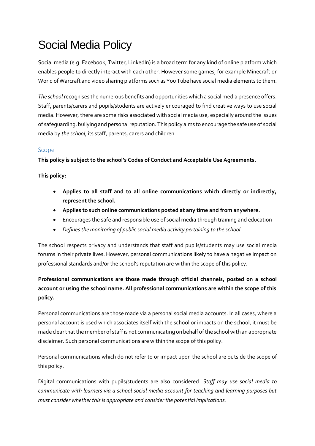# Social Media Policy

Social media (e.g. Facebook, Twitter, LinkedIn) is a broad term for any kind of online platform which enables people to directly interact with each other. However some games, for example Minecraft or World of Warcraft and video sharing platforms such as You Tube have social media elements to them.

*The school* recognises the numerous benefits and opportunities which a social media presence offers. Staff, parents/carers and pupils/students are actively encouraged to find creative ways to use social media. However, there are some risks associated with social media use, especially around the issues of safeguarding, bullying and personal reputation. This policy aims to encourage the safe use of social media by *the school*, its staff, parents, carers and children.

### Scope

**This policy is subject to the school's Codes of Conduct and Acceptable Use Agreements.**

#### **This policy:**

- **Applies to all staff and to all online communications which directly or indirectly, represent the school.**
- **Applies to such online communications posted at any time and from anywhere.**
- Encourages the safe and responsible use of social media through training and education
- *Defines the monitoring of public social media activity pertaining to the school*

The school respects privacy and understands that staff and pupils/students may use social media forums in their private lives. However, personal communications likely to have a negative impact on professional standards and/or the school's reputation are within the scope of this policy.

### **Professional communications are those made through official channels, posted on a school account or using the school name. All professional communications are within the scope of this policy.**

Personal communications are those made via a personal social media accounts. In all cases, where a personal account is used which associates itself with the school or impacts on the school, it must be made clear that the member of staff is not communicating on behalf of the school with an appropriate disclaimer. Such personal communications are within the scope of this policy.

Personal communications which do not refer to or impact upon the school are outside the scope of this policy.

Digital communications with pupils/students are also considered. *Staff may use social media to communicate with learners via a school social media account for teaching and learning purposes but must consider whether this is appropriate and consider the potential implications.*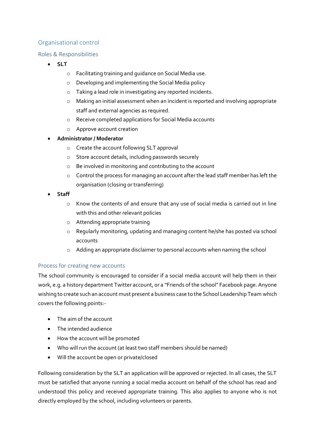#### Organisational control

#### Roles & Responsibilities

- **SLT**
	- o Facilitating training and guidance on Social Media use.
	- o Developing and implementing the Social Media policy
	- o Taking a lead role in investigating any reported incidents.
	- o Making an initial assessment when an incident is reported and involving appropriate staff and external agencies as required.
	- o Receive completed applications for Social Media accounts
	- o Approve account creation

#### **Administrator / Moderator**

- o Create the account following SLT approval
- o Store account details, including passwords securely
- o Be involved in monitoring and contributing to the account
- o Control the process for managing an account after the lead staff member has left the organisation (closing or transferring)
- **Staff**
	- o Know the contents of and ensure that any use of social media is carried out in line with this and other relevant policies
	- o Attending appropriate training
	- o Regularly monitoring, updating and managing content he/she has posted via school accounts
	- o Adding an appropriate disclaimer to personal accounts when naming the school

#### Process for creating new accounts

The school community is encouraged to consider if a social media account will help them in their work, e.g. a history department Twitter account, or a "Friends of the school" Facebook page. Anyone wishing to create such an account must present a business case to the School Leadership Team which covers the following points:-

- The aim of the account
- The intended audience
- How the account will be promoted
- Who will run the account (at least two staff members should be named)
- Will the account be open or private/closed

Following consideration by the SLT an application will be approved or rejected. In all cases, the SLT must be satisfied that anyone running a social media account on behalf of the school has read and understood this policy and received appropriate training. This also applies to anyone who is not directly employed by the school, including volunteers or parents.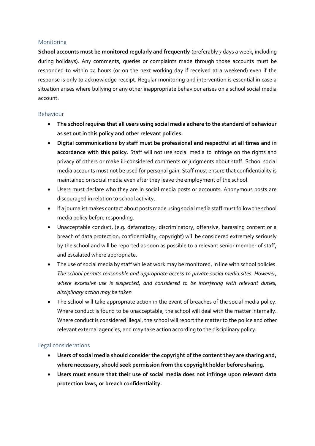#### Monitoring

**School accounts must be monitored regularly and frequently** (preferably 7 days a week, including during holidays). Any comments, queries or complaints made through those accounts must be responded to within 24 hours (or on the next working day if received at a weekend) even if the response is only to acknowledge receipt. Regular monitoring and intervention is essential in case a situation arises where bullying or any other inappropriate behaviour arises on a school social media account.

#### Behaviour

- **The school requires that all users using social media adhere to the standard of behaviour as set out in this policy and other relevant policies.**
- **Digital communications by staff must be professional and respectful at all times and in accordance with this policy**. Staff will not use social media to infringe on the rights and privacy of others or make ill-considered comments or judgments about staff. School social media accounts must not be used for personal gain. Staff must ensure that confidentiality is maintained on social media even after they leave the employment of the school.
- Users must declare who they are in social media posts or accounts. Anonymous posts are discouraged in relation to school activity.
- If a journalist makes contact about posts made using social media staff must follow the school media policy before responding.
- Unacceptable conduct, (e.g. defamatory, discriminatory, offensive, harassing content or a breach of data protection, confidentiality, copyright) will be considered extremely seriously by the school and will be reported as soon as possible to a relevant senior member of staff, and escalated where appropriate.
- The use of social media by staff while at work may be monitored, in line with school policies. *The school permits reasonable and appropriate access to private social media sites. However, where excessive use is suspected, and considered to be interfering with relevant duties, disciplinary action may be taken*
- The school will take appropriate action in the event of breaches of the social media policy. Where conduct is found to be unacceptable, the school will deal with the matter internally. Where conduct is considered illegal, the school will report the matter to the police and other relevant external agencies, and may take action according to the disciplinary policy.

#### Legal considerations

- **Users of social media should consider the copyright of the content they are sharing and, where necessary, should seek permission from the copyright holder before sharing.**
- **Users must ensure that their use of social media does not infringe upon relevant data protection laws, or breach confidentiality.**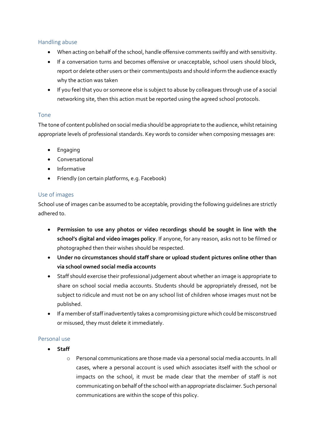#### Handling abuse

- When acting on behalf of the school, handle offensive comments swiftly and with sensitivity.
- If a conversation turns and becomes offensive or unacceptable, school users should block, report or delete other users or their comments/posts and should inform the audience exactly why the action was taken
- If you feel that you or someone else is subject to abuse by colleagues through use of a social networking site, then this action must be reported using the agreed school protocols.

#### Tone

The tone of content published on social media should be appropriate to the audience, whilst retaining appropriate levels of professional standards. Key words to consider when composing messages are:

- **•** Engaging
- Conversational
- **•** Informative
- Friendly (on certain platforms, e.g. Facebook)

#### Use of images

School use of images can be assumed to be acceptable, providing the following guidelines are strictly adhered to.

- **Permission to use any photos or video recordings should be sought in line with the school's digital and video images policy**. If anyone, for any reason, asks not to be filmed or photographed then their wishes should be respected.
- **Under no circumstances should staff share or upload student pictures online other than via school owned social media accounts**
- Staff should exercise their professional judgement about whether an image is appropriate to share on school social media accounts. Students should be appropriately dressed, not be subject to ridicule and must not be on any school list of children whose images must not be published.
- If a member of staff inadvertently takes a compromising picture which could be misconstrued or misused, they must delete it immediately.

#### Personal use

- **Staff**
	- o Personal communications are those made via a personal social media accounts. In all cases, where a personal account is used which associates itself with the school or impacts on the school, it must be made clear that the member of staff is not communicating on behalf of the school with an appropriate disclaimer. Such personal communications are within the scope of this policy.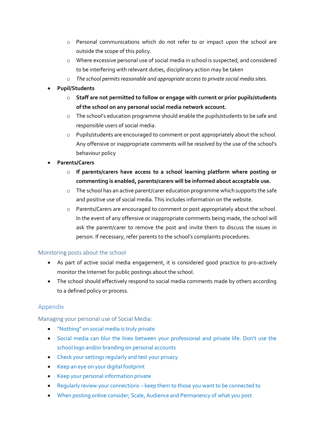- o Personal communications which do not refer to or impact upon the school are outside the scope of this policy.
- o Where excessive personal use of social media in school is suspected, and considered to be interfering with relevant duties, disciplinary action may be taken
- o *The school permits reasonable and appropriate access to private social media sites.*
- **Pupil/Students**
	- o **Staff are not permitted to follow or engage with current or prior pupils/students of the school on any personal social media network account.**
	- o The school's education programme should enable the pupils/students to be safe and responsible users of social media.
	- o Pupils/students are encouraged to comment or post appropriately about the school. Any offensive or inappropriate comments will be resolved by the use of the school's behaviour policy
- **Parents/Carers**
	- o **If parents/carers have access to a school learning platform where posting or commenting is enabled, parents/carers will be informed about acceptable use.**
	- o The school has an active parent/carer education programme which supports the safe and positive use of social media. This includes information on the website.
	- o Parents/Carers are encouraged to comment or post appropriately about the school. In the event of any offensive or inappropriate comments being made, the school will ask the parent/carer to remove the post and invite them to discuss the issues in person. If necessary, refer parents to the school's complaints procedures.

#### Monitoring posts about the school

- As part of active social media engagement, it is considered good practice to pro-actively monitor the Internet for public postings about the school.
- The school should effectively respond to social media comments made by others according to a defined policy or process.

### Appendix

Managing your personal use of Social Media:

- "Nothing" on social media is truly private
- Social media can blur the lines between your professional and private life. Don't use the school logo and/or branding on personal accounts
- Check your settings regularly and test your privacy
- Keep an eye on your digital footprint
- Keep your personal information private
- Regularly review your connections keep them to those you want to be connected to
- When posting online consider; Scale, Audience and Permanency of what you post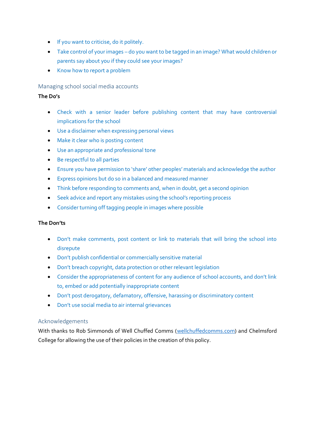- **If you want to criticise, do it politely.**
- Take control of your images do you want to be tagged in an image? What would children or parents say about you if they could see your images?
- Know how to report a problem

#### Managing school social media accounts

#### **The Do's**

- Check with a senior leader before publishing content that may have controversial implications for the school
- Use a disclaimer when expressing personal views
- Make it clear who is posting content
- Use an appropriate and professional tone
- Be respectful to all parties
- Ensure you have permission to 'share' other peoples' materials and acknowledge the author
- Express opinions but do so in a balanced and measured manner
- Think before responding to comments and, when in doubt, get a second opinion
- Seek advice and report any mistakes using the school's reporting process
- Consider turning off tagging people in images where possible

#### **The Don'ts**

- Don't make comments, post content or link to materials that will bring the school into disrepute
- Don't publish confidential or commercially sensitive material
- Don't breach copyright, data protection or other relevant legislation
- Consider the appropriateness of content for any audience of school accounts, and don't link to, embed or add potentially inappropriate content
- Don't post derogatory, defamatory, offensive, harassing or discriminatory content
- Don't use social media to air internal grievances

#### Acknowledgements

With thanks to Rob Simmonds of Well Chuffed Comms [\(wellchuffedcomms.com\)](http://wellchuffedcomms.com/) and Chelmsford College for allowing the use of their policies in the creation of this policy.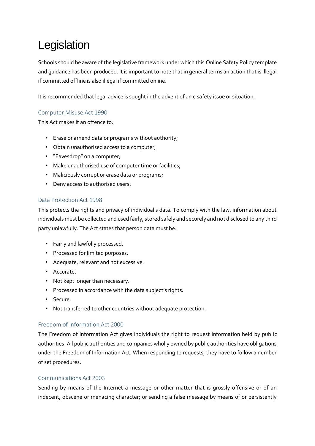# Legislation

Schools should be aware of the legislative framework under which this Online Safety Policy template and guidance has been produced. It is important to note that in general terms an action that is illegal if committed offline is also illegal if committed online.

It is recommended that legal advice is sought in the advent of an e safety issue or situation.

#### Computer Misuse Act 1990

This Act makes it an offence to:

- Erase or amend data or programs without authority;
- Obtain unauthorised access to a computer;
- "Eavesdrop" on a computer;
- Make unauthorised use of computer time or facilities;
- Maliciously corrupt or erase data or programs;
- Deny access to authorised users.

#### Data Protection Act 1998

This protects the rights and privacy of individual's data. To comply with the law, information about individuals must be collected and used fairly, stored safely and securely and not disclosed to any third party unlawfully. The Act states that person data must be:

- Fairly and lawfully processed.
- Processed for limited purposes.
- Adequate, relevant and not excessive.
- Accurate.
- Not kept longer than necessary.
- Processed in accordance with the data subject's rights.
- Secure.
- Not transferred to other countries without adequate protection.

#### Freedom of Information Act 2000

The Freedom of Information Act gives individuals the right to request information held by public authorities. All public authorities and companies wholly owned by public authorities have obligations under the Freedom of Information Act. When responding to requests, they have to follow a number of set procedures.

#### Communications Act 2003

Sending by means of the Internet a message or other matter that is grossly offensive or of an indecent, obscene or menacing character; or sending a false message by means of or persistently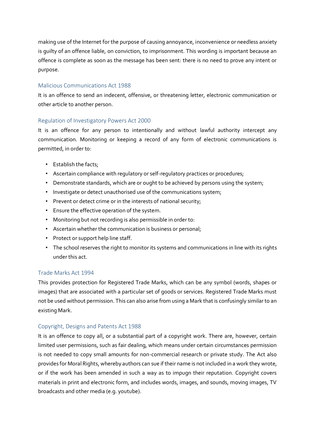making use of the Internet for the purpose of causing annoyance, inconvenience or needless anxiety is guilty of an offence liable, on conviction, to imprisonment. This wording is important because an offence is complete as soon as the message has been sent: there is no need to prove any intent or purpose.

#### Malicious Communications Act 1988

It is an offence to send an indecent, offensive, or threatening letter, electronic communication or other article to another person.

#### Regulation of Investigatory Powers Act 2000

It is an offence for any person to intentionally and without lawful authority intercept any communication. Monitoring or keeping a record of any form of electronic communications is permitted, in order to:

- Establish the facts;
- Ascertain compliance with regulatory or self-regulatory practices or procedures;
- Demonstrate standards, which are or ought to be achieved by persons using the system;
- Investigate or detect unauthorised use of the communications system;
- Prevent or detect crime or in the interests of national security;
- Ensure the effective operation of the system.
- Monitoring but not recording is also permissible in order to:
- Ascertain whether the communication is business or personal;
- Protect or support help line staff.
- The school reserves the right to monitor its systems and communications in line with its rights under this act.

#### Trade Marks Act 1994

This provides protection for Registered Trade Marks, which can be any symbol (words, shapes or images) that are associated with a particular set of goods or services. Registered Trade Marks must not be used without permission. This can also arise from using a Mark that is confusingly similar to an existing Mark.

#### Copyright, Designs and Patents Act 1988

It is an offence to copy all, or a substantial part of a copyright work. There are, however, certain limited user permissions, such as fair dealing, which means under certain circumstances permission is not needed to copy small amounts for non-commercial research or private study. The Act also provides for Moral Rights, whereby authors can sue if their name is not included in a work they wrote, or if the work has been amended in such a way as to impugn their reputation. Copyright covers materials in print and electronic form, and includes words, images, and sounds, moving images, TV broadcasts and other media (e.g. youtube).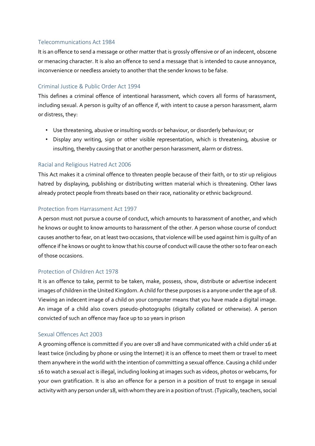#### Telecommunications Act 1984

It is an offence to send a message or other matter that is grossly offensive or of an indecent, obscene or menacing character. It is also an offence to send a message that is intended to cause annoyance, inconvenience or needless anxiety to another that the sender knows to be false.

#### Criminal Justice & Public Order Act 1994

This defines a criminal offence of intentional harassment, which covers all forms of harassment, including sexual. A person is guilty of an offence if, with intent to cause a person harassment, alarm or distress, they:

- Use threatening, abusive or insulting words or behaviour, or disorderly behaviour; or
- Display any writing, sign or other visible representation, which is threatening, abusive or insulting, thereby causing that or another person harassment, alarm or distress.

#### Racial and Religious Hatred Act 2006

This Act makes it a criminal offence to threaten people because of their faith, or to stir up religious hatred by displaying, publishing or distributing written material which is threatening. Other laws already protect people from threats based on their race, nationality or ethnic background.

#### Protection from Harrassment Act 1997

A person must not pursue a course of conduct, which amounts to harassment of another, and which he knows or ought to know amounts to harassment of the other. A person whose course of conduct causes another to fear, on at least two occasions, that violence will be used against him is guilty of an offence if he knows or ought to know that his course of conduct will cause the other so to fear on each of those occasions.

#### Protection of Children Act 1978

It is an offence to take, permit to be taken, make, possess, show, distribute or advertise indecent images of children in the United Kingdom. A child for these purposes is a anyone under the age of 18. Viewing an indecent image of a child on your computer means that you have made a digital image. An image of a child also covers pseudo-photographs (digitally collated or otherwise). A person convicted of such an offence may face up to 10 years in prison

#### Sexual Offences Act 2003

A grooming offence is committed if you are over 18 and have communicated with a child under 16 at least twice (including by phone or using the Internet) it is an offence to meet them or travel to meet them anywhere in the world with the intention of committing a sexual offence. Causing a child under 16 to watch a sexual act is illegal, including looking at images such as videos, photos or webcams, for your own gratification. It is also an offence for a person in a position of trust to engage in sexual activity with any person under 18, with whom they are in a position of trust. (Typically, teachers, social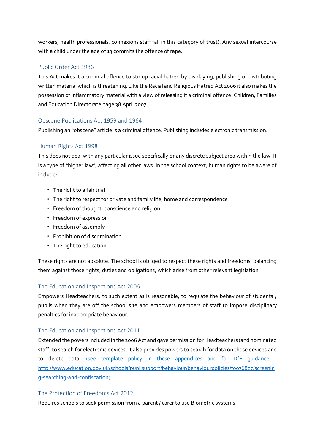workers, health professionals, connexions staff fall in this category of trust). Any sexual intercourse with a child under the age of 13 commits the offence of rape.

#### Public Order Act 1986

This Act makes it a criminal offence to stir up racial hatred by displaying, publishing or distributing written material which is threatening. Like the Racial and Religious Hatred Act 2006 it also makes the possession of inflammatory material with a view of releasing it a criminal offence. Children, Families and Education Directorate page 38 April 2007.

#### Obscene Publications Act 1959 and 1964

Publishing an "obscene" article is a criminal offence. Publishing includes electronic transmission.

#### Human Rights Act 1998

This does not deal with any particular issue specifically or any discrete subject area within the law. It is a type of "higher law", affecting all other laws. In the school context, human rights to be aware of include:

- The right to a fair trial
- The right to respect for private and family life, home and correspondence
- Freedom of thought, conscience and religion
- Freedom of expression
- Freedom of assembly
- Prohibition of discrimination
- The right to education

These rights are not absolute. The school is obliged to respect these rights and freedoms, balancing them against those rights, duties and obligations, which arise from other relevant legislation.

#### The Education and Inspections Act 2006

Empowers Headteachers, to such extent as is reasonable, to regulate the behaviour of students / pupils when they are off the school site and empowers members of staff to impose disciplinary penalties for inappropriate behaviour.

#### The Education and Inspections Act 2011

Extended the powers included in the 2006 Act and gave permission for Headteachers (and nominated staff) to search for electronic devices. It also provides powers to search for data on those devices and to delete data. (see template policy in these appendices and for DfE guidance http://www.education.gov.uk/schools/pupilsupport/behaviour/behaviourpolicies/foo76897/screenin [g-searching-and-confiscation\)](http://www.education.gov.uk/schools/pupilsupport/behaviour/behaviourpolicies/f0076897/screening-searching-and-confiscation)

#### The Protection of Freedoms Act 2012

Requires schools to seek permission from a parent / carer to use Biometric systems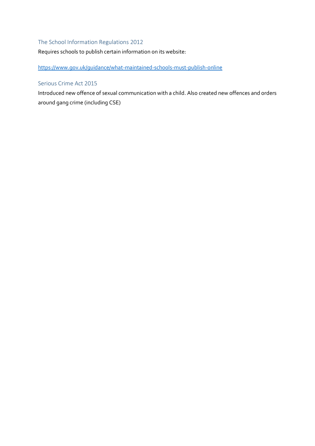#### The School Information Regulations 2012

Requires schools to publish certain information on its website:

<https://www.gov.uk/guidance/what-maintained-schools-must-publish-online>

#### Serious Crime Act 2015

Introduced new offence of sexual communication with a child. Also created new offences and orders around gang crime (including CSE)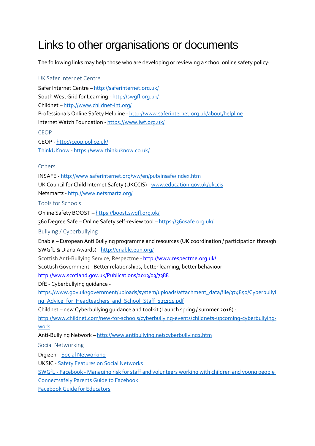# Links to other organisations or documents

The following links may help those who are developing or reviewing a school online safety policy:

## UK Safer Internet Centre Safer Internet Centre – <http://saferinternet.org.uk/> South West Grid for Learning - <http://swgfl.org.uk/> Childnet – <http://www.childnet-int.org/> Professionals Online Safety Helpline - <http://www.saferinternet.org.uk/about/helpline> Internet Watch Foundation - <https://www.iwf.org.uk/> CEOP CEOP - <http://ceop.police.uk/> [ThinkUKnow](http://www.thinkuknow.co.uk/) - <https://www.thinkuknow.co.uk/> **Others** INSAFE - <http://www.saferinternet.org/ww/en/pub/insafe/index.htm> UK Council for Child Internet Safety (UKCCIS) - [www.education.gov.uk/ukccis](http://www.education.gov.uk/ukccis) Netsmartz - <http://www.netsmartz.org/> Tools for Schools Online Safety BOOST – <https://boost.swgfl.org.uk/> 360 Degree Safe – Online Safety self-review tool – <https://360safe.org.uk/> Bullying / Cyberbullying Enable – European Anti Bullying programme and resources (UK coordination / participation through SWGfL & Diana Awards) - <http://enable.eun.org/> Scottish Anti-Bullying Service, Respectme - <http://www.respectme.org.uk/> Scottish Government - Better relationships, better learning, better behaviour <http://www.scotland.gov.uk/Publications/2013/03/7388> DfE - Cyberbullying guidance [https://www.gov.uk/government/uploads/system/uploads/attachment\\_data/file/374850/Cyberbullyi](https://www.gov.uk/government/uploads/system/uploads/attachment_data/file/374850/Cyberbullying_Advice_for_Headteachers_and_School_Staff_121114.pdf) [ng\\_Advice\\_for\\_Headteachers\\_and\\_School\\_Staff\\_121114.pdf](https://www.gov.uk/government/uploads/system/uploads/attachment_data/file/374850/Cyberbullying_Advice_for_Headteachers_and_School_Staff_121114.pdf) Childnet – new Cyberbullying guidance and toolkit (Launch spring / summer 2016) [http://www.childnet.com/new-for-schools/cyberbullying-events/childnets-upcoming-cyberbullying](http://www.childnet.com/new-for-schools/cyberbullying-events/childnets-upcoming-cyberbullying-work)[work](http://www.childnet.com/new-for-schools/cyberbullying-events/childnets-upcoming-cyberbullying-work) Anti-Bullying Network - <http://www.antibullying.net/cyberbullying1.htm> Social Networking Digizen – [Social Networking](http://digizen.org/socialnetworking/) UKSIC - [Safety Features on Social Networks](http://www.saferinternet.org.uk/advice-and-resources/teachers-and-professionals/safety-features) SWGfL - Facebook - [Managing risk for staff and volunteers working with children and young people](http://360safe.org.uk/Files/Documents/facebook-6) [Connectsafely Parents Guide to Facebook](http://www.connectsafely.org/Safety-Advice-Articles/facebook-for-parents.html) [Facebook Guide for Educators](http://www.360safe.org.uk/Files/Documents/Facebook-Guide-for-Educators.aspx)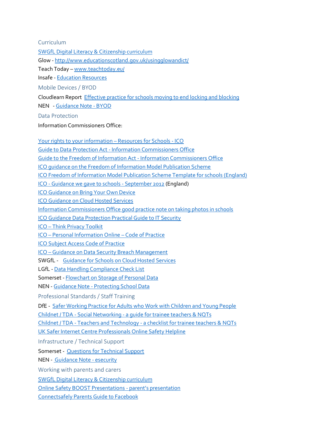Curriculum

[SWGfL Digital Literacy & Citizenship curriculum](http://www.swgfl.org.uk/digitalliteracy)

Glow - <http://www.educationscotland.gov.uk/usingglowandict/>

Teach Today – [www.teachtoday.eu/](http://www.teachtoday.de/en/)

Insafe - [Education Resources](http://lreforschools.eun.org/web/guest/insafe)

Mobile Devices / BYOD

Cloudlearn Report [Effective practice for schools moving to end locking and blocking](http://www.360safe.org.uk/Files/Documents/Cloudlearn_Report-end-to-locking-and-blocking.aspx)

NEN - [Guidance Note -](http://www.360safe.org.uk/Files/Documents/NEN_Guidance_Note_5_BYOD.aspx) BYOD

Data Protection

Information Commissioners Office:

[Your rights to your information](http://www.ico.org.uk/schools) – Resources for Schools - ICO Guide to Data Protection Act - [Information Commissioners Office](https://ico.org.uk/for-organisations/guide-to-data-protection/) [Guide to the Freedom of Information Act -](https://ico.org.uk/for-organisations/guide-to-freedom-of-information/) Information Commissioners Office [ICO guidance on the Freedom of Information Model Publication Scheme](http://www.ico.gov.uk/for_organisations/freedom_of_information/guide/publication_scheme.aspx) [ICO Freedom of Information Model Publication Scheme Template for schools \(England\)](https://ico.org.uk/media/for-organisations/documents/1235/definition-document-schools-in-england.pdf) ICO - [Guidance we gave to schools -](http://www.360safe.org.uk/Files/Documents/ICO-guidance-for-schools-Sept-2012.aspx) September 2012 (England) [ICO Guidance on Bring Your Own Device](http://www.360safe.org.uk/Files/Documents/ico_bring_your_own_device_byod_guidance.aspx) [ICO Guidance on Cloud Hosted Services](https://ico.org.uk/media/for-organisations/documents/1540/cloud_computing_guidance_for_organisations.pdf) [Information Commissioners Office good practice note on taking photos in schools](http://360safe.org.uk/Files/Documents/ICO-Good-Practice-Note-on-taking-photos-in-schools) [ICO Guidance Data Protection Practical Guide to IT Security](http://www.ico.org.uk/for_organisations/data_protection/~/media/documents/library/Data_Protection/Practical_application/it_security_practical_guide.ashx) ICO – [Think Privacy Toolkit](http://www.ico.org.uk/for_organisations/training/think-privacy-toolkit) ICO – [Personal Information Online](http://www.ico.org.uk/for_organisations/guidance_index/~/media/documents/library/Data_Protection/Detailed_specialist_guides/personal_information_online_cop.ashx) – Code of Practice [ICO Subject Access Code of Practice](http://www.ico.org.uk/for_organisations/data_protection/~/media/documents/library/Data_Protection/Detailed_specialist_guides/subject-access-code-of-practice.PDF) ICO – [Guidance on Data Security Breach Management](http://www.ico.org.uk/for_organisations/data_protection/~/media/documents/library/Data_Protection/Practical_application/guidance_on_data_security_breach_management.pdf) SWGfL - [Guidance for Schools on Cloud Hosted Services](http://www.360safe.org.uk/Files/Documents/SWGfL-guidance-on-Cloud-hosting.aspx) LGfL - [Data Handling Compliance Check List](http://files.lgfl.net/esafety/guides/check%20list%20for%20data%20handling%20best%20practice_jan2013.pdf) Somerset - [Flowchart on Storage of Personal Data](https://slp.somerset.org.uk/sites/edtech/Data%20Protection/Data%20Protection/ELIM%20Storing%20identifiable%20Personal%20data%20flowchart.pdf) NEN - Guidance Note - [Protecting School Data](http://www.360safe.org.uk/Files/Documents/NEN_Guidance_Note_1_protecting_school_data.aspx) Professional Standards / Staff Training DfE - [Safer Working Practice for Adults who Work with Children and Young People](http://www.safeguardinginschools.co.uk/wp-content/uploads/2015/10/Guidance-for-Safer-Working-Practices-2015-final1.pdf) Childnet / TDA - Social Networking - [a guide for trainee teachers & NQTs](http://360safe.org.uk/Files/Documents/ChildnetSNSleaflet(3)) Childnet / TDA - Teachers and Technology - [a checklist for trainee teachers & NQTs](http://360safe.org.uk/Files/Documents/Childnettechnologyleaflet(4)) [UK Safer Internet Centre Professionals Online Safety Helpline](http://www.saferinternet.org.uk/helpline) Infrastructure / Technical Support Somerset - Questions for [Technical Support](https://360safe.org.uk/Files/Documents/Somerset-Questions-for-Technical-Support-v4.aspx)  NEN - [Guidance Note -](http://www.360safe.org.uk/Files/Documents/NEN_Guidance_Note_4_esecurity.aspx) esecurity Working with parents and carers [SWGfL Digital Literacy & Citizenship curriculum](http://www.swgfl.org.uk/digitalliteracy) Online Safety [BOOST Presentations -](http://www.swgfl.org.uk/boost) parent's presentation [Connectsafely Parents Guide to Facebook](http://www.connectsafely.org/Safety-Advice-Articles/facebook-for-parents.html)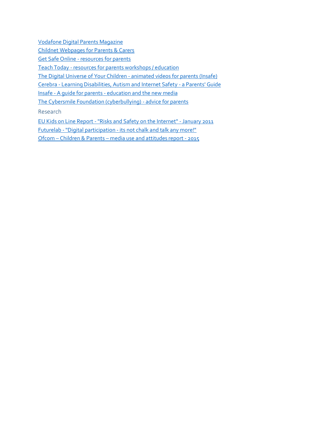[Vodafone Digital Parents Magazine](http://www.vodafone.com/content/parents/digital-parenting.html)

Childnet [Webpages for Parents & Carers](http://www.childnet.com/parents-and-carers)

Get Safe Online - [resources for parents](http://www.getsafeonline.org/nqcontent.cfm?a_id=1182)

Teach Today - [resources for parents workshops / education](http://www.teachtoday.de/en/)

[The Digital Universe of Your Children -](http://www.saferinternet.org/digitaluniverse) animated videos for parents (Insafe)

Cerebra - [Learning Disabilities, Autism and Internet Safety -](http://www.360safe.org.uk/Files/Documents/Learning-Disabilities,-Autism-and-Internet-Safety.aspx) a Parents' Guide

Insafe - [A guide for parents -](http://www.360safe.org.uk/Files/Documents/e-safety_booklet-a-Guide-for-Parents-INSAFE.aspx) education and the new media

[The Cybersmile Foundation \(cyberbullying\) -](http://www.cybersmile.org/advice-help/category/advice-parents-1) advice for parents

Research

EU Kids on Line Report - ["Risks and Safety on the Internet" -](http://360safe.org.uk/Files/Documents/EU-Kids-on-Line-Executive_Summary_Full_Findings-Ja) January 2011

Futurelab - "Digital participation - [its not chalk and talk any more!"](http://360safe.org.uk/Files/Documents/FutureLab-Digital-participation--its-not-chalk-and)

Ofcom – Children & Parents – [media use and attitudes report -](http://stakeholders.ofcom.org.uk/market-data-research/other/research-publications/childrens/children-parents-nov-15/) 2015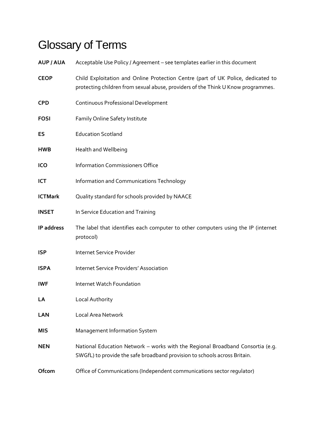# Glossary of Terms

| <b>AUP / AUA</b> | Acceptable Use Policy / Agreement - see templates earlier in this document                                                                                           |
|------------------|----------------------------------------------------------------------------------------------------------------------------------------------------------------------|
| <b>CEOP</b>      | Child Exploitation and Online Protection Centre (part of UK Police, dedicated to<br>protecting children from sexual abuse, providers of the Think U Know programmes. |
| <b>CPD</b>       | Continuous Professional Development                                                                                                                                  |
| <b>FOSI</b>      | Family Online Safety Institute                                                                                                                                       |
| ES               | <b>Education Scotland</b>                                                                                                                                            |
| <b>HWB</b>       | Health and Wellbeing                                                                                                                                                 |
| ICO              | <b>Information Commissioners Office</b>                                                                                                                              |
| ICT              | Information and Communications Technology                                                                                                                            |
| <b>ICTMark</b>   | Quality standard for schools provided by NAACE                                                                                                                       |
| <b>INSET</b>     | In Service Education and Training                                                                                                                                    |
| IP address       | The label that identifies each computer to other computers using the IP (internet<br>protocol)                                                                       |
| <b>ISP</b>       | Internet Service Provider                                                                                                                                            |
| <b>ISPA</b>      | <b>Internet Service Providers' Association</b>                                                                                                                       |
| IWF              | Internet Watch Foundation                                                                                                                                            |
| LA               | Local Authority                                                                                                                                                      |
| LAN              | Local Area Network                                                                                                                                                   |
| MIS              | Management Information System                                                                                                                                        |
| <b>NEN</b>       | National Education Network - works with the Regional Broadband Consortia (e.g.<br>SWGfL) to provide the safe broadband provision to schools across Britain.          |
| Ofcom            | Office of Communications (Independent communications sector regulator)                                                                                               |